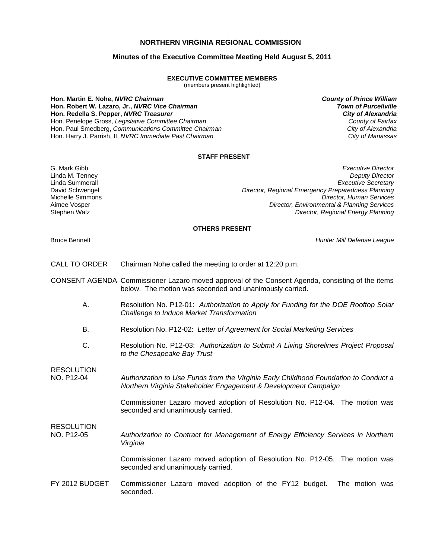# **NORTHERN VIRGINIA REGIONAL COMMISSION**

## **Minutes of the Executive Committee Meeting Held August 5, 2011**

#### **EXECUTIVE COMMITTEE MEMBERS**

(members present highlighted)

**Hon. Martin E. Nohe,** *NVRC Chairman County of Prince William* **Hon. Robert W. Lazaro, Jr.,** *NVRC Vice Chairman Town of Purcellville* **Hon. Redella S. Pepper,** *NVRC Treasurer City of Alexandria* Hon. Penelope Gross, *Legislative Committee Chairman County of Fairfax* Hon. Paul Smedberg, *Communications Committee Chairman City of Alexandria* Hon. Harry J. Parrish, II, *NVRC Immediate Past Chairman City of Manassas*

### **STAFF PRESENT**

G. Mark Gibb *Executive Director* Linda M. Tenney *Deputy Director* **Executive Secretary** David Schwengel *Director, Regional Emergency Preparedness Planning* Michelle Simmons *Director, Human Services* Aimee Vosper *Director, Environmental & Planning Services* Stephen Walz *Director, Regional Energy Planning*

### **OTHERS PRESENT**

Bruce Bennett *Hunter Mill Defense League*

- CALL TO ORDER Chairman Nohe called the meeting to order at 12:20 p.m.
- CONSENT AGENDA Commissioner Lazaro moved approval of the Consent Agenda, consisting of the items below. The motion was seconded and unanimously carried.
	- A. Resolution No. P12-01: *Authorization to Apply for Funding for the DOE Rooftop Solar Challenge to Induce Market Transformation*
	- B. Resolution No. P12-02: *Letter of Agreement for Social Marketing Services*
	- C. Resolution No. P12-03: *Authorization to Submit A Living Shorelines Project Proposal to the Chesapeake Bay Trust*

RESOLUTION

RESOLUTION

NO. P12-04 *Authorization to Use Funds from the Virginia Early Childhood Foundation to Conduct a Northern Virginia Stakeholder Engagement & Development Campaign*

> Commissioner Lazaro moved adoption of Resolution No. P12-04. The motion was seconded and unanimously carried.

NO. P12-05 *Authorization to Contract for Management of Energy Efficiency Services in Northern Virginia*

> Commissioner Lazaro moved adoption of Resolution No. P12-05. The motion was seconded and unanimously carried.

FY 2012 BUDGET Commissioner Lazaro moved adoption of the FY12 budget. The motion was seconded.